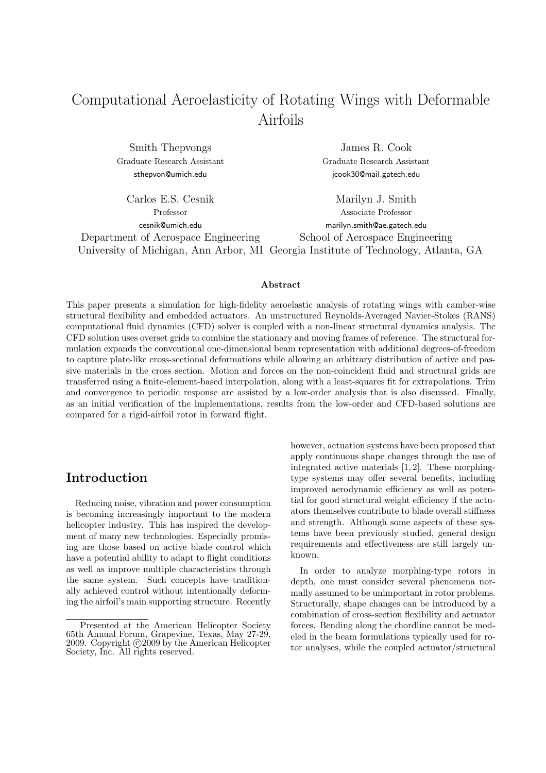# Computational Aeroelasticity of Rotating Wings with Deformable Airfoils

Smith Thepvongs James R. Cook

Graduate Research Assistant Graduate Research Assistant sthepvon@umich.edu jcook30@mail.gatech.edu

Carlos E.S. Cesnik Marilyn J. Smith Professor Associate Professor cesnik@umich.edu marilyn.smith@ae.gatech.edu Department of Aerospace Engineering School of Aerospace Engineering University of Michigan, Ann Arbor, MI Georgia Institute of Technology, Atlanta, GA

#### Abstract

This paper presents a simulation for high-fidelity aeroelastic analysis of rotating wings with camber-wise structural flexibility and embedded actuators. An unstructured Reynolds-Averaged Navier-Stokes (RANS) computational fluid dynamics (CFD) solver is coupled with a non-linear structural dynamics analysis. The CFD solution uses overset grids to combine the stationary and moving frames of reference. The structural formulation expands the conventional one-dimensional beam representation with additional degrees-of-freedom to capture plate-like cross-sectional deformations while allowing an arbitrary distribution of active and passive materials in the cross section. Motion and forces on the non-coincident fluid and structural grids are transferred using a finite-element-based interpolation, along with a least-squares fit for extrapolations. Trim and convergence to periodic response are assisted by a low-order analysis that is also discussed. Finally, as an initial verification of the implementations, results from the low-order and CFD-based solutions are compared for a rigid-airfoil rotor in forward flight.

### Introduction

Reducing noise, vibration and power consumption is becoming increasingly important to the modern helicopter industry. This has inspired the development of many new technologies. Especially promising are those based on active blade control which have a potential ability to adapt to flight conditions as well as improve multiple characteristics through the same system. Such concepts have traditionally achieved control without intentionally deforming the airfoil's main supporting structure. Recently

however, actuation systems have been proposed that apply continuous shape changes through the use of integrated active materials [1, 2]. These morphingtype systems may offer several benefits, including improved aerodynamic efficiency as well as potential for good structural weight efficiency if the actuators themselves contribute to blade overall stiffness and strength. Although some aspects of these systems have been previously studied, general design requirements and effectiveness are still largely unknown.

In order to analyze morphing-type rotors in depth, one must consider several phenomena normally assumed to be unimportant in rotor problems. Structurally, shape changes can be introduced by a combination of cross-section flexibility and actuator forces. Bending along the chordline cannot be modeled in the beam formulations typically used for rotor analyses, while the coupled actuator/structural

Presented at the American Helicopter Society 65th Annual Forum, Grapevine, Texas, May 27-29, 2009. Copyright  $\odot$  2009 by the American Helicopter Society, Inc. All rights reserved.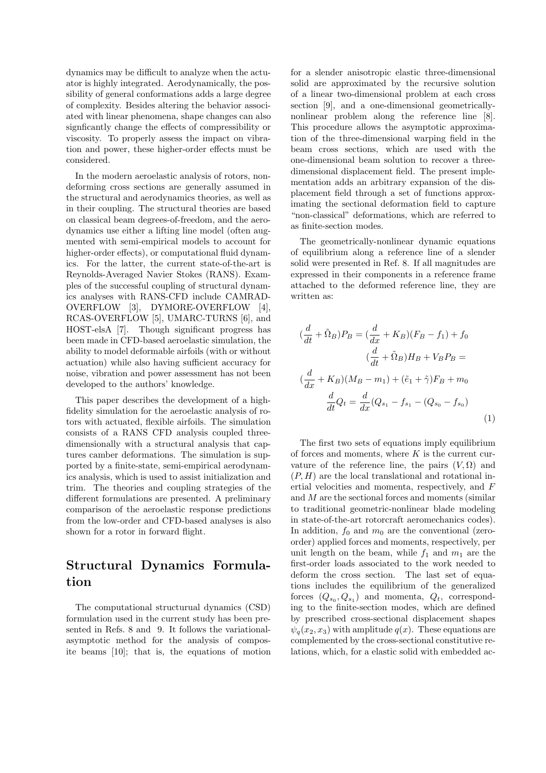dynamics may be difficult to analyze when the actuator is highly integrated. Aerodynamically, the possibility of general conformations adds a large degree of complexity. Besides altering the behavior associated with linear phenomena, shape changes can also signficantly change the effects of compressibility or viscosity. To properly assess the impact on vibration and power, these higher-order effects must be considered.

In the modern aeroelastic analysis of rotors, nondeforming cross sections are generally assumed in the structural and aerodynamics theories, as well as in their coupling. The structural theories are based on classical beam degrees-of-freedom, and the aerodynamics use either a lifting line model (often augmented with semi-empirical models to account for higher-order effects), or computational fluid dynamics. For the latter, the current state-of-the-art is Reynolds-Averaged Navier Stokes (RANS). Examples of the successful coupling of structural dynamics analyses with RANS-CFD include CAMRAD-OVERFLOW [3], DYMORE-OVERFLOW [4], RCAS-OVERFLOW [5], UMARC-TURNS [6], and HOST-elsA [7]. Though significant progress has been made in CFD-based aeroelastic simulation, the ability to model deformable airfoils (with or without actuation) while also having sufficient accuracy for noise, vibration and power assessment has not been developed to the authors' knowledge.

This paper describes the development of a highfidelity simulation for the aeroelastic analysis of rotors with actuated, flexible airfoils. The simulation consists of a RANS CFD analysis coupled threedimensionally with a structural analysis that captures camber deformations. The simulation is supported by a finite-state, semi-empirical aerodynamics analysis, which is used to assist initialization and trim. The theories and coupling strategies of the different formulations are presented. A preliminary comparison of the aeroelastic response predictions from the low-order and CFD-based analyses is also shown for a rotor in forward flight.

## Structural Dynamics Formulation

The computational structurual dynamics (CSD) formulation used in the current study has been presented in Refs. 8 and 9. It follows the variationalasymptotic method for the analysis of composite beams [10]; that is, the equations of motion

for a slender anisotropic elastic three-dimensional solid are approximated by the recursive solution of a linear two-dimensional problem at each cross section [9], and a one-dimensional geometricallynonlinear problem along the reference line [8]. This procedure allows the asymptotic approximation of the three-dimensional warping field in the beam cross sections, which are used with the one-dimensional beam solution to recover a threedimensional displacement field. The present implementation adds an arbitrary expansion of the displacement field through a set of functions approximating the sectional deformation field to capture "non-classical" deformations, which are referred to as finite-section modes.

The geometrically-nonlinear dynamic equations of equilibrium along a reference line of a slender solid were presented in Ref. 8. If all magnitudes are expressed in their components in a reference frame attached to the deformed reference line, they are written as:

$$
(\frac{d}{dt} + \tilde{\Omega}_B)P_B = (\frac{d}{dx} + K_B)(F_B - f_1) + f_0
$$
  

$$
(\frac{d}{dt} + \tilde{\Omega}_B)H_B + V_B P_B =
$$
  

$$
(\frac{d}{dx} + K_B)(M_B - m_1) + (\tilde{e}_1 + \tilde{\gamma})F_B + m_0
$$
  

$$
\frac{d}{dt}Q_t = \frac{d}{dx}(Q_{s_1} - f_{s_1} - (Q_{s_0} - f_{s_0})
$$
  
(1)

The first two sets of equations imply equilibrium of forces and moments, where  $K$  is the current curvature of the reference line, the pairs  $(V, \Omega)$  and  $(P, H)$  are the local translational and rotational inertial velocities and momenta, respectively, and F and M are the sectional forces and moments (similar to traditional geometric-nonlinear blade modeling in state-of-the-art rotorcraft aeromechanics codes). In addition,  $f_0$  and  $m_0$  are the conventional (zeroorder) applied forces and moments, respectively, per unit length on the beam, while  $f_1$  and  $m_1$  are the first-order loads associated to the work needed to deform the cross section. The last set of equations includes the equilibrium of the generalized forces  $(Q_{s_0}, Q_{s_1})$  and momenta,  $Q_t$ , corresponding to the finite-section modes, which are defined by prescribed cross-sectional displacement shapes  $\psi_q(x_2, x_3)$  with amplitude  $q(x)$ . These equations are complemented by the cross-sectional constitutive relations, which, for a elastic solid with embedded ac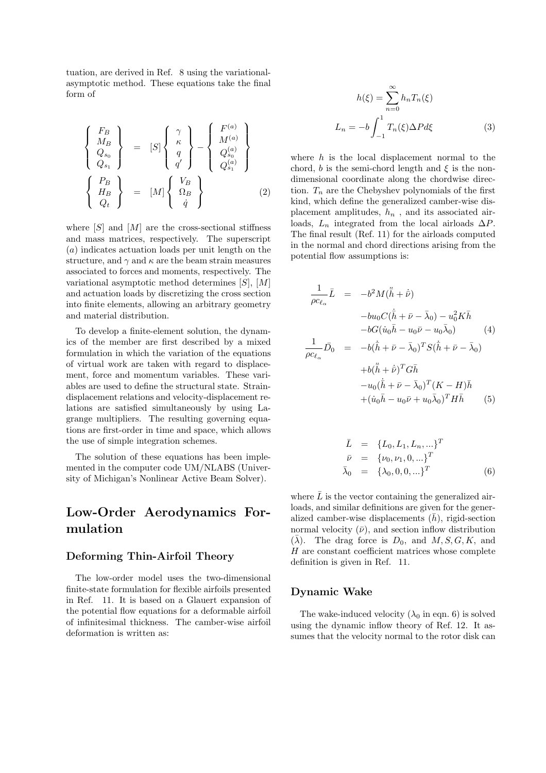tuation, are derived in Ref. 8 using the variationalasymptotic method. These equations take the final form of

$$
\begin{Bmatrix}\nF_B \\
M_B \\
Q_{s_0} \\
Q_{s_1}\n\end{Bmatrix} = [S] \begin{Bmatrix}\n\gamma \\
\kappa \\
q \\
q'\n\end{Bmatrix} - \begin{Bmatrix}\nF^{(a)} \\
M^{(a)} \\
Q^{(a)}_{s_0} \\
Q^{(a)}_{s_1}\n\end{Bmatrix}
$$
\n
$$
\begin{Bmatrix}\nP_B \\
H_B \\
Q_t\n\end{Bmatrix} = [M] \begin{Bmatrix}\nV_B \\
\Omega_B \\
\dot{q}\n\end{Bmatrix}
$$
\n(2)

where  $[S]$  and  $[M]$  are the cross-sectional stiffness and mass matrices, respectively. The superscript (a) indicates actuation loads per unit length on the structure, and  $\gamma$  and  $\kappa$  are the beam strain measures associated to forces and moments, respectively. The variational asymptotic method determines  $[S], [M]$ and actuation loads by discretizing the cross section into finite elements, allowing an arbitrary geometry and material distribution.

To develop a finite-element solution, the dynamics of the member are first described by a mixed formulation in which the variation of the equations of virtual work are taken with regard to displacement, force and momentum variables. These variables are used to define the structural state. Straindisplacement relations and velocity-displacement relations are satisfied simultaneously by using Lagrange multipliers. The resulting governing equations are first-order in time and space, which allows the use of simple integration schemes.

The solution of these equations has been implemented in the computer code UM/NLABS (University of Michigan's Nonlinear Active Beam Solver).

## Low-Order Aerodynamics Formulation

#### Deforming Thin-Airfoil Theory

The low-order model uses the two-dimensional finite-state formulation for flexible airfoils presented in Ref. 11. It is based on a Glauert expansion of the potential flow equations for a deformable airfoil of infinitesimal thickness. The camber-wise airfoil deformation is written as:

$$
h(\xi) = \sum_{n=0}^{\infty} h_n T_n(\xi)
$$

$$
L_n = -b \int_{-1}^{1} T_n(\xi) \Delta P d\xi
$$
(3)

where  $h$  is the local displacement normal to the chord, b is the semi-chord length and  $\xi$  is the nondimensional coordinate along the chordwise direction.  $T_n$  are the Chebyshev polynomials of the first kind, which define the generalized camber-wise displacement amplitudes,  $h_n$ , and its associated airloads,  $L_n$  integrated from the local airloads  $\Delta P$ . The final result (Ref. 11) for the airloads computed in the normal and chord directions arising from the potential flow assumptions is:

$$
\frac{1}{\rho c_{\ell_{\alpha}}} \bar{L} = -b^2 M (\ddot{\bar{h}} + \dot{\bar{\nu}})
$$
\n
$$
-bu_0 C (\dot{\bar{h}} + \bar{\nu} - \bar{\lambda}_0) - u_0^2 K \bar{h}
$$
\n
$$
-bG(\dot{u}_0 \bar{h} - u_0 \bar{\nu} - u_0 \bar{\lambda}_0) \qquad (4)
$$
\n
$$
\frac{1}{\rho c_{\ell_{\alpha}}} \bar{D}_0 = -b(\dot{\bar{h}} + \bar{\nu} - \bar{\lambda}_0)^T S (\dot{\bar{h}} + \bar{\nu} - \bar{\lambda}_0)
$$
\n
$$
+b(\ddot{\bar{h}} + \dot{\bar{\nu}})^T G \bar{h}
$$
\n
$$
-u_0 (\dot{\bar{h}} + \bar{\nu} - \bar{\lambda}_0)^T (K - H) \bar{h}
$$
\n
$$
+ (\dot{u}_0 \bar{h} - u_0 \bar{\nu} + u_0 \bar{\lambda}_0)^T H \bar{h} \qquad (5)
$$

$$
\begin{array}{rcl}\n\bar{L} & = & \{L_0, L_1, L_n, \ldots\}^T \\
\bar{\nu} & = & \{\nu_0, \nu_1, 0, \ldots\}^T \\
\bar{\lambda}_0 & = & \{\lambda_0, 0, 0, \ldots\}^T\n\end{array}\n\tag{6}
$$

where  $\bar{L}$  is the vector containing the generalized airloads, and similar definitions are given for the generalized camber-wise displacements  $(\bar{h})$ , rigid-section normal velocity  $(\bar{\nu})$ , and section inflow distribution  $({\overline{\lambda}})$ . The drag force is  $D_0$ , and  $M, S, G, K$ , and  $H$  are constant coefficient matrices whose complete definition is given in Ref. 11.

#### Dynamic Wake

The wake-induced velocity  $(\lambda_0 \text{ in eqn. } 6)$  is solved using the dynamic inflow theory of Ref. 12. It assumes that the velocity normal to the rotor disk can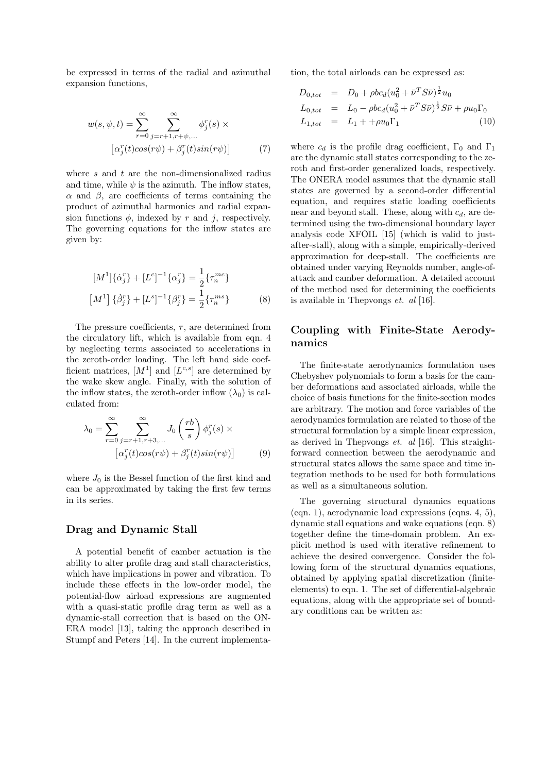be expressed in terms of the radial and azimuthal expansion functions,

$$
w(s, \psi, t) = \sum_{r=0}^{\infty} \sum_{j=r+1, r+\psi, \dots}^{\infty} \phi_j^r(s) \times \left[ \alpha_j^r(t) \cos(r\psi) + \beta_j^r(t) \sin(r\psi) \right]
$$
(7)

where  $s$  and  $t$  are the non-dimensionalized radius and time, while  $\psi$  is the azimuth. The inflow states, α and β, are coefficients of terms containing the product of azimuthal harmonics and radial expansion functions  $\phi$ , indexed by r and j, respectively. The governing equations for the inflow states are given by:

$$
[M1]\{\dot{\alpha}_j^r\} + [L^c]^{-1}\{\alpha_j^r\} = \frac{1}{2}\{\tau_n^{mc}\}\
$$

$$
[M1]\{\dot{\beta}_j^r\} + [L^s]^{-1}\{\beta_j^r\} = \frac{1}{2}\{\tau_n^{ms}\}\
$$
(8)

The pressure coefficients,  $\tau$ , are determined from the circulatory lift, which is available from eqn. 4 by neglecting terms associated to accelerations in the zeroth-order loading. The left hand side coefficient matrices,  $[M^1]$  and  $[L^{c,s}]$  are determined by the wake skew angle. Finally, with the solution of the inflow states, the zeroth-order inflow  $(\lambda_0)$  is calculated from:

$$
\lambda_0 = \sum_{r=0}^{\infty} \sum_{j=r+1, r+3, \dots}^{\infty} J_0 \left( \frac{rb}{s} \right) \phi_j^r(s) \times \left[ \alpha_j^r(t) \cos(r\psi) + \beta_j^r(t) \sin(r\psi) \right]
$$
(9)

where  $J_0$  is the Bessel function of the first kind and can be approximated by taking the first few terms in its series.

#### Drag and Dynamic Stall

A potential benefit of camber actuation is the ability to alter profile drag and stall characteristics, which have implications in power and vibration. To include these effects in the low-order model, the potential-flow airload expressions are augmented with a quasi-static profile drag term as well as a dynamic-stall correction that is based on the ON-ERA model [13], taking the approach described in Stumpf and Peters [14]. In the current implementation, the total airloads can be expressed as:

$$
D_{0,tot} = D_0 + \rho b c_d (u_0^2 + \bar{\nu}^T S \bar{\nu})^{\frac{1}{2}} u_0
$$
  
\n
$$
L_{0,tot} = L_0 - \rho b c_d (u_0^2 + \bar{\nu}^T S \bar{\nu})^{\frac{1}{2}} S \bar{\nu} + \rho u_0 \Gamma_0
$$
  
\n
$$
L_{1,tot} = L_1 + \rho u_0 \Gamma_1
$$
 (10)

where  $c_d$  is the profile drag coefficient,  $\Gamma_0$  and  $\Gamma_1$ are the dynamic stall states corresponding to the zeroth and first-order generalized loads, respectively. The ONERA model assumes that the dynamic stall states are governed by a second-order differential equation, and requires static loading coefficients near and beyond stall. These, along with  $c_d$ , are determined using the two-dimensional boundary layer analysis code XFOIL [15] (which is valid to justafter-stall), along with a simple, empirically-derived approximation for deep-stall. The coefficients are obtained under varying Reynolds number, angle-ofattack and camber deformation. A detailed account of the method used for determining the coefficients is available in Thepvongs  $et.$   $al$  [16].

### Coupling with Finite-State Aerodynamics

The finite-state aerodynamics formulation uses Chebyshev polynomials to form a basis for the camber deformations and associated airloads, while the choice of basis functions for the finite-section modes are arbitrary. The motion and force variables of the aerodynamics formulation are related to those of the structural formulation by a simple linear expression, as derived in Thepvongs  $et.$   $al$  [16]. This straightforward connection between the aerodynamic and structural states allows the same space and time integration methods to be used for both formulations as well as a simultaneous solution.

The governing structural dynamics equations (eqn. 1), aerodynamic load expressions (eqns. 4, 5), dynamic stall equations and wake equations (eqn. 8) together define the time-domain problem. An explicit method is used with iterative refinement to achieve the desired convergence. Consider the following form of the structural dynamics equations, obtained by applying spatial discretization (finiteelements) to eqn. 1. The set of differential-algebraic equations, along with the appropriate set of boundary conditions can be written as: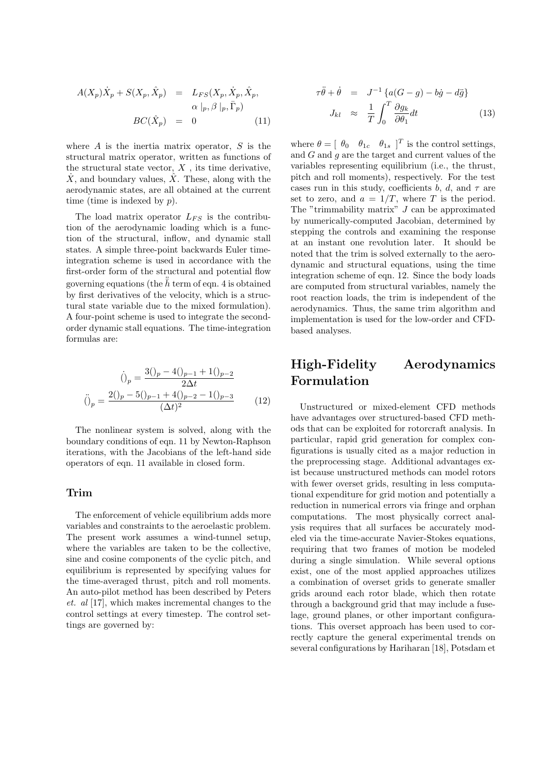$$
A(X_p)\dot{X}_p + S(X_p, \hat{X}_p) = L_{FS}(X_p, \dot{X}_p, \hat{X}_p, \n\alpha \mid_p, \beta \mid_p, \bar{\Gamma}_p) \nBC(\hat{X}_p) = 0
$$
\n(11)

where  $A$  is the inertia matrix operator,  $S$  is the structural matrix operator, written as functions of the structural state vector,  $X$ , its time derivative,  $\dot{X}$ , and boundary values,  $\hat{X}$ . These, along with the aerodynamic states, are all obtained at the current time (time is indexed by  $p$ ).

The load matrix operator  $L_{FS}$  is the contribution of the aerodynamic loading which is a function of the structural, inflow, and dynamic stall states. A simple three-point backwards Euler timeintegration scheme is used in accordance with the first-order form of the structural and potential flow governing equations (the  $\ddot{\bar{h}}$  term of eqn. 4 is obtained by first derivatives of the velocity, which is a structural state variable due to the mixed formulation). A four-point scheme is used to integrate the secondorder dynamic stall equations. The time-integration formulas are:

$$
\dot{()}_p = \frac{3\dot{()}_p - 4\dot{()}_{p-1} + 1\dot{()}_{p-2}}{2\Delta t}
$$
\n
$$
\ddot{()}_p = \frac{2\dot{()}_p - 5\dot{()}_{p-1} + 4\dot{()}_{p-2} - 1\dot{()}_{p-3}}{(\Delta t)^2}
$$
\n(12)

The nonlinear system is solved, along with the boundary conditions of eqn. 11 by Newton-Raphson iterations, with the Jacobians of the left-hand side operators of eqn. 11 available in closed form.

#### Trim

The enforcement of vehicle equilibrium adds more variables and constraints to the aeroelastic problem. The present work assumes a wind-tunnel setup, where the variables are taken to be the collective, sine and cosine components of the cyclic pitch, and equilibrium is represented by specifying values for the time-averaged thrust, pitch and roll moments. An auto-pilot method has been described by Peters et. al [17], which makes incremental changes to the control settings at every timestep. The control settings are governed by:

$$
\tau \ddot{\theta} + \dot{\theta} = J^{-1} \{ a(G - g) - b\dot{g} - d\ddot{g} \}
$$

$$
J_{kl} \approx \frac{1}{T} \int_0^T \frac{\partial g_k}{\partial \theta_1} dt
$$
(13)

where  $\theta = [\theta_0 \quad \theta_{1c} \quad \theta_{1s}]^T$  is the control settings, and  $G$  and  $q$  are the target and current values of the variables representing equilibrium (i.e., the thrust, pitch and roll moments), respectively. For the test cases run in this study, coefficients b, d, and  $\tau$  are set to zero, and  $a = 1/T$ , where T is the period. The "trimmability matrix"  $J$  can be approximated by numerically-computed Jacobian, determined by stepping the controls and examining the response at an instant one revolution later. It should be noted that the trim is solved externally to the aerodynamic and structural equations, using the time integration scheme of eqn. 12. Since the body loads are computed from structural variables, namely the root reaction loads, the trim is independent of the aerodynamics. Thus, the same trim algorithm and implementation is used for the low-order and CFDbased analyses.

## High-Fidelity Aerodynamics Formulation

Unstructured or mixed-element CFD methods have advantages over structured-based CFD methods that can be exploited for rotorcraft analysis. In particular, rapid grid generation for complex configurations is usually cited as a major reduction in the preprocessing stage. Additional advantages exist because unstructured methods can model rotors with fewer overset grids, resulting in less computational expenditure for grid motion and potentially a reduction in numerical errors via fringe and orphan computations. The most physically correct analysis requires that all surfaces be accurately modeled via the time-accurate Navier-Stokes equations, requiring that two frames of motion be modeled during a single simulation. While several options exist, one of the most applied approaches utilizes a combination of overset grids to generate smaller grids around each rotor blade, which then rotate through a background grid that may include a fuselage, ground planes, or other important configurations. This overset approach has been used to correctly capture the general experimental trends on several configurations by Hariharan [18], Potsdam et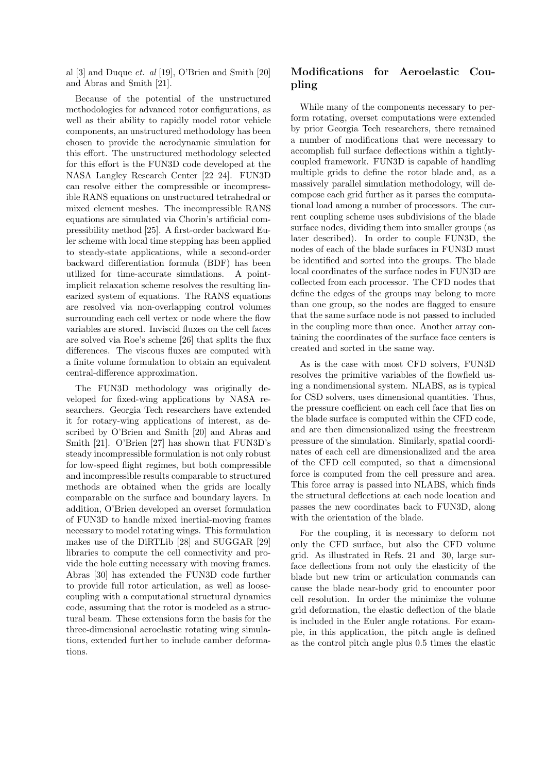al  $[3]$  and Duque *et. al*  $[19]$ , O'Brien and Smith  $[20]$ and Abras and Smith [21].

Because of the potential of the unstructured methodologies for advanced rotor configurations, as well as their ability to rapidly model rotor vehicle components, an unstructured methodology has been chosen to provide the aerodynamic simulation for this effort. The unstructured methodology selected for this effort is the FUN3D code developed at the NASA Langley Research Center [22–24]. FUN3D can resolve either the compressible or incompressible RANS equations on unstructured tetrahedral or mixed element meshes. The incompressible RANS equations are simulated via Chorin's artificial compressibility method [25]. A first-order backward Euler scheme with local time stepping has been applied to steady-state applications, while a second-order backward differentiation formula (BDF) has been utilized for time-accurate simulations. A pointimplicit relaxation scheme resolves the resulting linearized system of equations. The RANS equations are resolved via non-overlapping control volumes surrounding each cell vertex or node where the flow variables are stored. Inviscid fluxes on the cell faces are solved via Roe's scheme [26] that splits the flux differences. The viscous fluxes are computed with a finite volume formulation to obtain an equivalent central-difference approximation.

The FUN3D methodology was originally developed for fixed-wing applications by NASA researchers. Georgia Tech researchers have extended it for rotary-wing applications of interest, as described by O'Brien and Smith [20] and Abras and Smith [21]. O'Brien [27] has shown that FUN3D's steady incompressible formulation is not only robust for low-speed flight regimes, but both compressible and incompressible results comparable to structured methods are obtained when the grids are locally comparable on the surface and boundary layers. In addition, O'Brien developed an overset formulation of FUN3D to handle mixed inertial-moving frames necessary to model rotating wings. This formulation makes use of the DiRTLib [28] and SUGGAR [29] libraries to compute the cell connectivity and provide the hole cutting necessary with moving frames. Abras [30] has extended the FUN3D code further to provide full rotor articulation, as well as loosecoupling with a computational structural dynamics code, assuming that the rotor is modeled as a structural beam. These extensions form the basis for the three-dimensional aeroelastic rotating wing simulations, extended further to include camber deformations.

### Modifications for Aeroelastic Coupling

While many of the components necessary to perform rotating, overset computations were extended by prior Georgia Tech researchers, there remained a number of modifications that were necessary to accomplish full surface deflections within a tightlycoupled framework. FUN3D is capable of handling multiple grids to define the rotor blade and, as a massively parallel simulation methodology, will decompose each grid further as it parses the computational load among a number of processors. The current coupling scheme uses subdivisions of the blade surface nodes, dividing them into smaller groups (as later described). In order to couple FUN3D, the nodes of each of the blade surfaces in FUN3D must be identified and sorted into the groups. The blade local coordinates of the surface nodes in FUN3D are collected from each processor. The CFD nodes that define the edges of the groups may belong to more than one group, so the nodes are flagged to ensure that the same surface node is not passed to included in the coupling more than once. Another array containing the coordinates of the surface face centers is created and sorted in the same way.

As is the case with most CFD solvers, FUN3D resolves the primitive variables of the flowfield using a nondimensional system. NLABS, as is typical for CSD solvers, uses dimensional quantities. Thus, the pressure coefficient on each cell face that lies on the blade surface is computed within the CFD code, and are then dimensionalized using the freestream pressure of the simulation. Similarly, spatial coordinates of each cell are dimensionalized and the area of the CFD cell computed, so that a dimensional force is computed from the cell pressure and area. This force array is passed into NLABS, which finds the structural deflections at each node location and passes the new coordinates back to FUN3D, along with the orientation of the blade.

For the coupling, it is necessary to deform not only the CFD surface, but also the CFD volume grid. As illustrated in Refs. 21 and 30, large surface deflections from not only the elasticity of the blade but new trim or articulation commands can cause the blade near-body grid to encounter poor cell resolution. In order the minimize the volume grid deformation, the elastic deflection of the blade is included in the Euler angle rotations. For example, in this application, the pitch angle is defined as the control pitch angle plus 0.5 times the elastic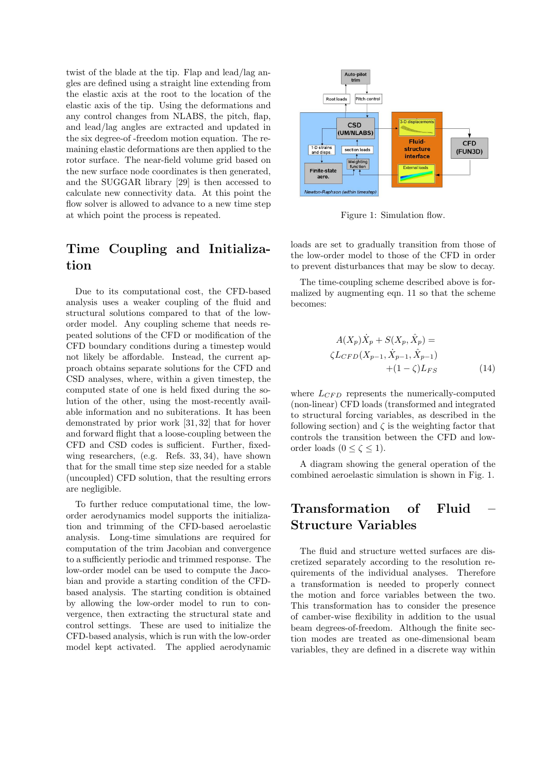twist of the blade at the tip. Flap and lead/lag angles are defined using a straight line extending from the elastic axis at the root to the location of the elastic axis of the tip. Using the deformations and any control changes from NLABS, the pitch, flap, and lead/lag angles are extracted and updated in the six degree-of -freedom motion equation. The remaining elastic deformations are then applied to the rotor surface. The near-field volume grid based on the new surface node coordinates is then generated, and the SUGGAR library [29] is then accessed to calculate new connectivity data. At this point the flow solver is allowed to advance to a new time step at which point the process is repeated.

## Time Coupling and Initialization

Due to its computational cost, the CFD-based analysis uses a weaker coupling of the fluid and structural solutions compared to that of the loworder model. Any coupling scheme that needs repeated solutions of the CFD or modification of the CFD boundary conditions during a timestep would not likely be affordable. Instead, the current approach obtains separate solutions for the CFD and CSD analyses, where, within a given timestep, the computed state of one is held fixed during the solution of the other, using the most-recently available information and no subiterations. It has been demonstrated by prior work [31, 32] that for hover and forward flight that a loose-coupling between the CFD and CSD codes is sufficient. Further, fixedwing researchers, (e.g. Refs. 33, 34), have shown that for the small time step size needed for a stable (uncoupled) CFD solution, that the resulting errors are negligible.

To further reduce computational time, the loworder aerodynamics model supports the initialization and trimming of the CFD-based aeroelastic analysis. Long-time simulations are required for computation of the trim Jacobian and convergence to a sufficiently periodic and trimmed response. The low-order model can be used to compute the Jacobian and provide a starting condition of the CFDbased analysis. The starting condition is obtained by allowing the low-order model to run to convergence, then extracting the structural state and control settings. These are used to initialize the CFD-based analysis, which is run with the low-order model kept activated. The applied aerodynamic



Figure 1: Simulation flow.

loads are set to gradually transition from those of the low-order model to those of the CFD in order to prevent disturbances that may be slow to decay.

The time-coupling scheme described above is formalized by augmenting eqn. 11 so that the scheme becomes:

$$
A(X_p)\dot{X}_p + S(X_p, \hat{X}_p) =
$$
  

$$
\zeta L_{CFD}(X_{p-1}, \dot{X}_{p-1}, \hat{X}_{p-1}) + (1 - \zeta)L_{FS}
$$
 (14)

where  $L_{CFD}$  represents the numerically-computed (non-linear) CFD loads (transformed and integrated to structural forcing variables, as described in the following section) and  $\zeta$  is the weighting factor that controls the transition between the CFD and loworder loads  $(0 \le \zeta \le 1)$ .

A diagram showing the general operation of the combined aeroelastic simulation is shown in Fig. 1.

## Transformation of Fluid – Structure Variables

The fluid and structure wetted surfaces are discretized separately according to the resolution requirements of the individual analyses. Therefore a transformation is needed to properly connect the motion and force variables between the two. This transformation has to consider the presence of camber-wise flexibility in addition to the usual beam degrees-of-freedom. Although the finite section modes are treated as one-dimensional beam variables, they are defined in a discrete way within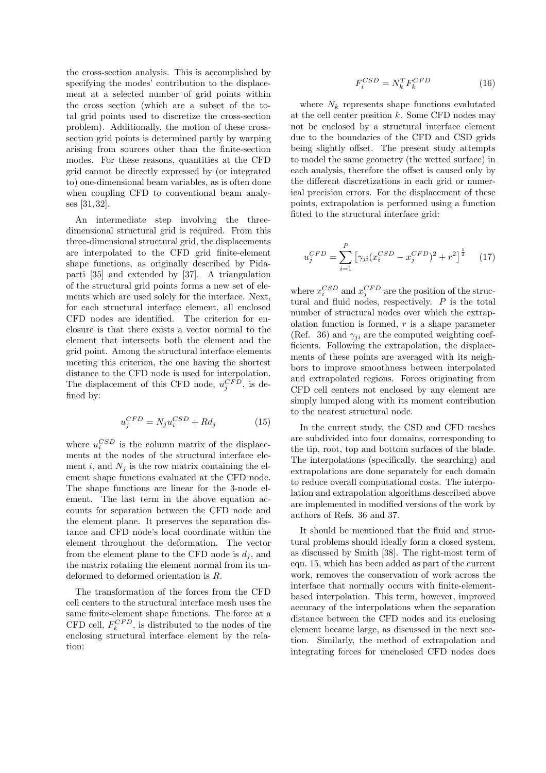the cross-section analysis. This is accomplished by specifying the modes' contribution to the displacement at a selected number of grid points within the cross section (which are a subset of the total grid points used to discretize the cross-section problem). Additionally, the motion of these crosssection grid points is determined partly by warping arising from sources other than the finite-section modes. For these reasons, quantities at the CFD grid cannot be directly expressed by (or integrated to) one-dimensional beam variables, as is often done when coupling CFD to conventional beam analyses [31, 32].

An intermediate step involving the threedimensional structural grid is required. From this three-dimensional structural grid, the displacements are interpolated to the CFD grid finite-element shape functions, as originally described by Pidaparti [35] and extended by [37]. A triangulation of the structural grid points forms a new set of elements which are used solely for the interface. Next, for each structural interface element, all enclosed CFD nodes are identified. The criterion for enclosure is that there exists a vector normal to the element that intersects both the element and the grid point. Among the structural interface elements meeting this criterion, the one having the shortest distance to the CFD node is used for interpolation. The displacement of this CFD node,  $u_j^{CFD}$ , is defined by:

$$
u_j^{CFD} = N_j u_i^{CSD} + R d_j \tag{15}
$$

where  $u_i^{CSD}$  is the column matrix of the displacements at the nodes of the structural interface element i, and  $N_i$  is the row matrix containing the element shape functions evaluated at the CFD node. The shape functions are linear for the 3-node element. The last term in the above equation accounts for separation between the CFD node and the element plane. It preserves the separation distance and CFD node's local coordinate within the element throughout the deformation. The vector from the element plane to the CFD node is  $d_i$ , and the matrix rotating the element normal from its undeformed to deformed orientation is R.

The transformation of the forces from the CFD cell centers to the structural interface mesh uses the same finite-element shape functions. The force at a CFD cell,  $F_k^{CFD}$ , is distributed to the nodes of the enclosing structural interface element by the relation:

$$
F_i^{CSD} = N_k^T F_k^{CFD} \tag{16}
$$

where  $N_k$  represents shape functions evalutated at the cell center position  $k$ . Some CFD nodes may not be enclosed by a structural interface element due to the boundaries of the CFD and CSD grids being slightly offset. The present study attempts to model the same geometry (the wetted surface) in each analysis, therefore the offset is caused only by the different discretizations in each grid or numerical precision errors. For the displacement of these points, extrapolation is performed using a function fitted to the structural interface grid:

$$
u_j^{CFD} = \sum_{i=1}^{P} \left[ \gamma_{ji} (x_i^{CSD} - x_j^{CFD})^2 + r^2 \right]^{\frac{1}{2}} \tag{17}
$$

where  $x_i^{CSD}$  and  $x_j^{CFD}$  are the position of the structural and fluid nodes, respectively.  $P$  is the total number of structural nodes over which the extrapolation function is formed,  $r$  is a shape parameter (Ref. 36) and  $\gamma_{ji}$  are the computed weighting coefficients. Following the extrapolation, the displacements of these points are averaged with its neighbors to improve smoothness between interpolated and extrapolated regions. Forces originating from CFD cell centers not enclosed by any element are simply lumped along with its moment contribution to the nearest structural node.

In the current study, the CSD and CFD meshes are subdivided into four domains, corresponding to the tip, root, top and bottom surfaces of the blade. The interpolations (specifically, the searching) and extrapolations are done separately for each domain to reduce overall computational costs. The interpolation and extrapolation algorithms described above are implemented in modified versions of the work by authors of Refs. 36 and 37.

It should be mentioned that the fluid and structural problems should ideally form a closed system, as discussed by Smith [38]. The right-most term of eqn. 15, which has been added as part of the current work, removes the conservation of work across the interface that normally occurs with finite-elementbased interpolation. This term, however, improved accuracy of the interpolations when the separation distance between the CFD nodes and its enclosing element became large, as discussed in the next section. Similarly, the method of extrapolation and integrating forces for unenclosed CFD nodes does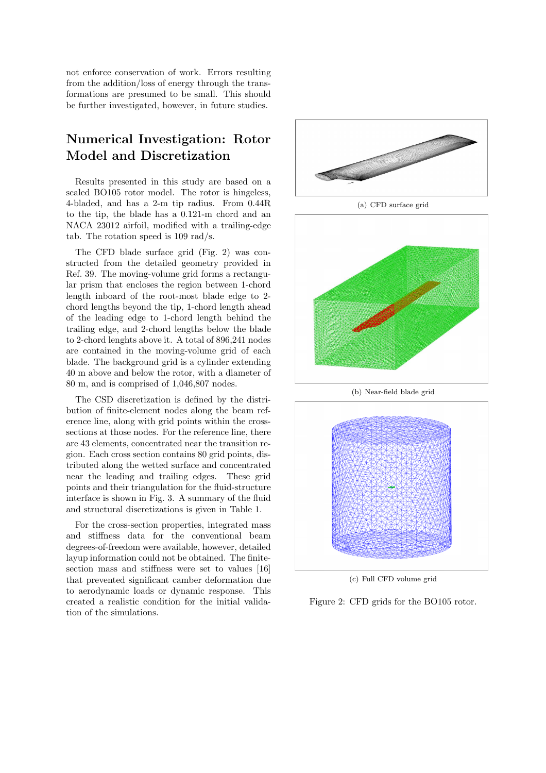not enforce conservation of work. Errors resulting from the addition/loss of energy through the transformations are presumed to be small. This should be further investigated, however, in future studies.

## Numerical Investigation: Rotor Model and Discretization

Results presented in this study are based on a scaled BO105 rotor model. The rotor is hingeless, 4-bladed, and has a 2-m tip radius. From 0.44R to the tip, the blade has a 0.121-m chord and an NACA 23012 airfoil, modified with a trailing-edge tab. The rotation speed is 109 rad/s.

The CFD blade surface grid (Fig. 2) was constructed from the detailed geometry provided in Ref. 39. The moving-volume grid forms a rectangular prism that encloses the region between 1-chord length inboard of the root-most blade edge to 2 chord lengths beyond the tip, 1-chord length ahead of the leading edge to 1-chord length behind the trailing edge, and 2-chord lengths below the blade to 2-chord lenghts above it. A total of 896,241 nodes are contained in the moving-volume grid of each blade. The background grid is a cylinder extending 40 m above and below the rotor, with a diameter of 80 m, and is comprised of 1,046,807 nodes.

The CSD discretization is defined by the distribution of finite-element nodes along the beam reference line, along with grid points within the crosssections at those nodes. For the reference line, there are 43 elements, concentrated near the transition region. Each cross section contains 80 grid points, distributed along the wetted surface and concentrated near the leading and trailing edges. These grid points and their triangulation for the fluid-structure interface is shown in Fig. 3. A summary of the fluid and structural discretizations is given in Table 1.

For the cross-section properties, integrated mass and stiffness data for the conventional beam degrees-of-freedom were available, however, detailed layup information could not be obtained. The finitesection mass and stiffness were set to values [16] that prevented significant camber deformation due to aerodynamic loads or dynamic response. This created a realistic condition for the initial validation of the simulations.



(a) CFD surface grid



(b) Near-field blade grid



(c) Full CFD volume grid

Figure 2: CFD grids for the BO105 rotor.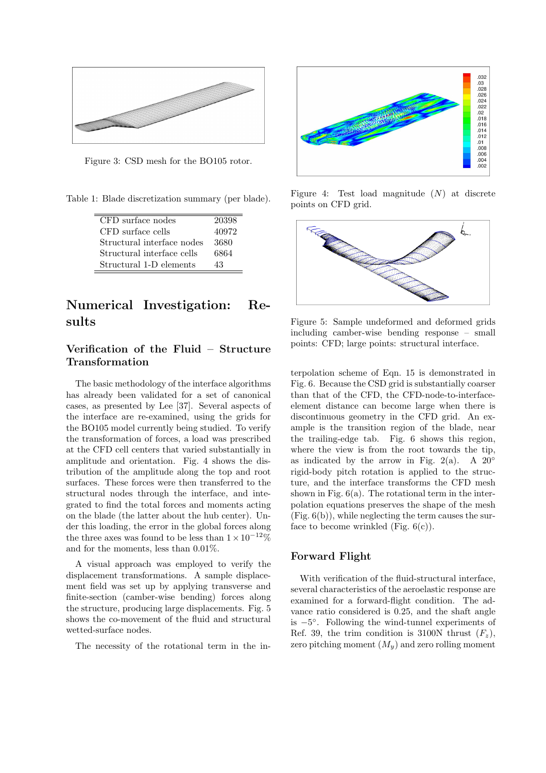

Figure 3: CSD mesh for the BO105 rotor.

Table 1: Blade discretization summary (per blade).

| CFD surface nodes          | 20398 |
|----------------------------|-------|
| CFD surface cells          | 40972 |
| Structural interface nodes | 3680  |
| Structural interface cells | 6864  |
| Structural 1-D elements    | 43    |

### Numerical Investigation: Results

### Verification of the Fluid – Structure Transformation

The basic methodology of the interface algorithms has already been validated for a set of canonical cases, as presented by Lee [37]. Several aspects of the interface are re-examined, using the grids for the BO105 model currently being studied. To verify the transformation of forces, a load was prescribed at the CFD cell centers that varied substantially in amplitude and orientation. Fig. 4 shows the distribution of the amplitude along the top and root surfaces. These forces were then transferred to the structural nodes through the interface, and integrated to find the total forces and moments acting on the blade (the latter about the hub center). Under this loading, the error in the global forces along the three axes was found to be less than  $1 \times 10^{-12}$ % and for the moments, less than 0.01%.

A visual approach was employed to verify the displacement transformations. A sample displacement field was set up by applying transverse and finite-section (camber-wise bending) forces along the structure, producing large displacements. Fig. 5 shows the co-movement of the fluid and structural wetted-surface nodes.

The necessity of the rotational term in the in-



Figure 4: Test load magnitude  $(N)$  at discrete points on CFD grid.



Figure 5: Sample undeformed and deformed grids including camber-wise bending response – small points: CFD; large points: structural interface.

terpolation scheme of Eqn. 15 is demonstrated in Fig. 6. Because the CSD grid is substantially coarser than that of the CFD, the CFD-node-to-interfaceelement distance can become large when there is discontinuous geometry in the CFD grid. An example is the transition region of the blade, near the trailing-edge tab. Fig. 6 shows this region, where the view is from the root towards the tip, as indicated by the arrow in Fig. 2(a). A 20 $\degree$ rigid-body pitch rotation is applied to the structure, and the interface transforms the CFD mesh shown in Fig.  $6(a)$ . The rotational term in the interpolation equations preserves the shape of the mesh  $(Fig. 6(b))$ , while neglecting the term causes the surface to become wrinkled (Fig.  $6(c)$ ).

#### Forward Flight

With verification of the fluid-structural interface, several characteristics of the aeroelastic response are examined for a forward-flight condition. The advance ratio considered is 0.25, and the shaft angle is −5 ◦ . Following the wind-tunnel experiments of Ref. 39, the trim condition is 3100N thrust  $(F_z)$ , zero pitching moment  $(M_y)$  and zero rolling moment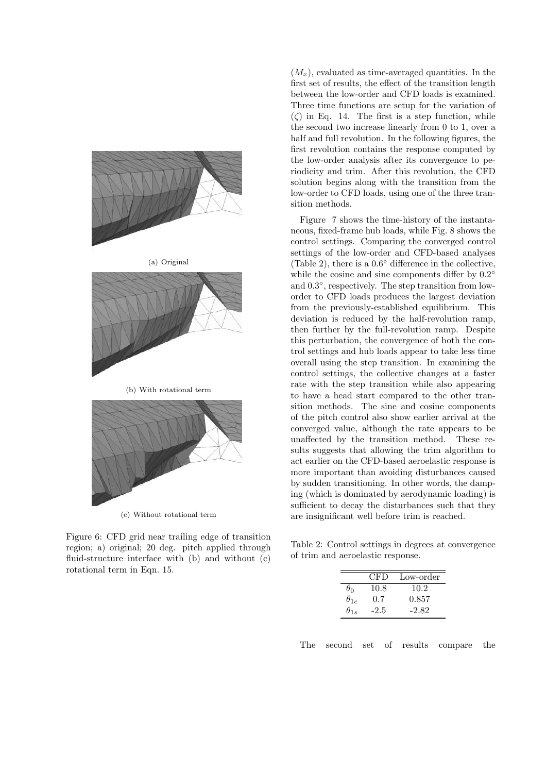

Figure 6: CFD grid near trailing edge of transition region; a) original; 20 deg. pitch applied through fluid-structure interface with (b) and without (c) rotational term in Eqn. 15.

 $(M_x)$ , evaluated as time-averaged quantities. In the first set of results, the effect of the transition length between the low-order and CFD loads is examined. Three time functions are setup for the variation of  $(\zeta)$  in Eq. 14. The first is a step function, while the second two increase linearly from 0 to 1, over a half and full revolution. In the following figures, the first revolution contains the response computed by the low-order analysis after its convergence to periodicity and trim. After this revolution, the CFD solution begins along with the transition from the low-order to CFD loads, using one of the three transition methods.

Figure 7 shows the time-history of the instantaneous, fixed-frame hub loads, while Fig. 8 shows the control settings. Comparing the converged control settings of the low-order and CFD-based analyses (Table 2), there is a 0.6 ◦ difference in the collective, while the cosine and sine components differ by  $0.2^{\circ}$ and 0.3 ◦ , respectively. The step transition from loworder to CFD loads produces the largest deviation from the previously-established equilibrium. This deviation is reduced by the half-revolution ramp, then further by the full-revolution ramp. Despite this perturbation, the convergence of both the control settings and hub loads appear to take less time overall using the step transition. In examining the control settings, the collective changes at a faster rate with the step transition while also appearing to have a head start compared to the other transition methods. The sine and cosine components of the pitch control also show earlier arrival at the converged value, although the rate appears to be unaffected by the transition method. These results suggests that allowing the trim algorithm to act earlier on the CFD-based aeroelastic response is more important than avoiding disturbances caused by sudden transitioning. In other words, the damping (which is dominated by aerodynamic loading) is sufficient to decay the disturbances such that they are insignificant well before trim is reached.

Table 2: Control settings in degrees at convergence of trim and aeroelastic response.

|               | <b>CFD</b> | Low-order |
|---------------|------------|-----------|
| $\theta_0$    | 10.8       | 10.2      |
| $\theta_{1c}$ | 0.7        | 0.857     |
| $\theta_{1s}$ | $-2.5$     | $-2.82$   |

The second set of results compare the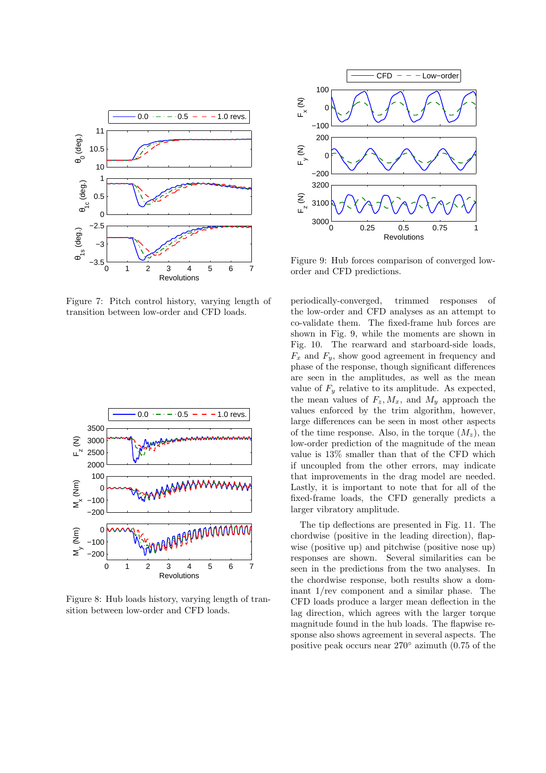

Figure 7: Pitch control history, varying length of transition between low-order and CFD loads.



Figure 8: Hub loads history, varying length of transition between low-order and CFD loads.



Figure 9: Hub forces comparison of converged loworder and CFD predictions.

periodically-converged, trimmed responses of the low-order and CFD analyses as an attempt to co-validate them. The fixed-frame hub forces are shown in Fig. 9, while the moments are shown in Fig. 10. The rearward and starboard-side loads,  $F_x$  and  $F_y$ , show good agreement in frequency and phase of the response, though significant differences are seen in the amplitudes, as well as the mean value of  $F_u$  relative to its amplitude. As expected, the mean values of  $F_z, M_x$ , and  $M_y$  approach the values enforced by the trim algorithm, however, large differences can be seen in most other aspects of the time response. Also, in the torque  $(M_z)$ , the low-order prediction of the magnitude of the mean value is 13% smaller than that of the CFD which if uncoupled from the other errors, may indicate that improvements in the drag model are needed. Lastly, it is important to note that for all of the fixed-frame loads, the CFD generally predicts a larger vibratory amplitude.

The tip deflections are presented in Fig. 11. The chordwise (positive in the leading direction), flapwise (positive up) and pitchwise (positive nose up) responses are shown. Several similarities can be seen in the predictions from the two analyses. In the chordwise response, both results show a dominant 1/rev component and a similar phase. The CFD loads produce a larger mean deflection in the lag direction, which agrees with the larger torque magnitude found in the hub loads. The flapwise response also shows agreement in several aspects. The positive peak occurs near 270◦ azimuth (0.75 of the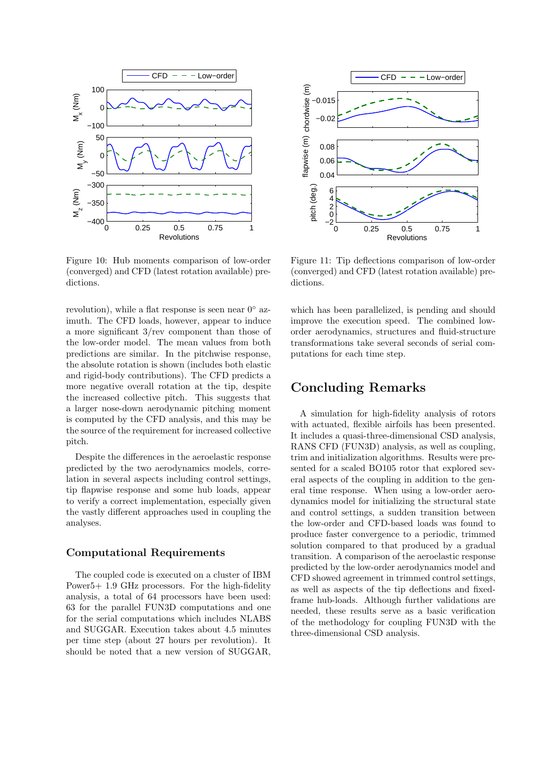

Figure 10: Hub moments comparison of low-order (converged) and CFD (latest rotation available) predictions.

revolution), while a flat response is seen near  $0^{\circ}$  azimuth. The CFD loads, however, appear to induce a more significant 3/rev component than those of the low-order model. The mean values from both predictions are similar. In the pitchwise response, the absolute rotation is shown (includes both elastic and rigid-body contributions). The CFD predicts a more negative overall rotation at the tip, despite the increased collective pitch. This suggests that a larger nose-down aerodynamic pitching moment is computed by the CFD analysis, and this may be the source of the requirement for increased collective pitch.

Despite the differences in the aeroelastic response predicted by the two aerodynamics models, correlation in several aspects including control settings, tip flapwise response and some hub loads, appear to verify a correct implementation, especially given the vastly different approaches used in coupling the analyses.

### Computational Requirements

The coupled code is executed on a cluster of IBM Power5+ 1.9 GHz processors. For the high-fidelity analysis, a total of 64 processors have been used: 63 for the parallel FUN3D computations and one for the serial computations which includes NLABS and SUGGAR. Execution takes about 4.5 minutes per time step (about 27 hours per revolution). It should be noted that a new version of SUGGAR,



Figure 11: Tip deflections comparison of low-order (converged) and CFD (latest rotation available) predictions.

which has been parallelized, is pending and should improve the execution speed. The combined loworder aerodynamics, structures and fluid-structure transformations take several seconds of serial computations for each time step.

### Concluding Remarks

A simulation for high-fidelity analysis of rotors with actuated, flexible airfoils has been presented. It includes a quasi-three-dimensional CSD analysis, RANS CFD (FUN3D) analysis, as well as coupling, trim and initialization algorithms. Results were presented for a scaled BO105 rotor that explored several aspects of the coupling in addition to the general time response. When using a low-order aerodynamics model for initializing the structural state and control settings, a sudden transition between the low-order and CFD-based loads was found to produce faster convergence to a periodic, trimmed solution compared to that produced by a gradual transition. A comparison of the aeroelastic response predicted by the low-order aerodynamics model and CFD showed agreement in trimmed control settings, as well as aspects of the tip deflections and fixedframe hub-loads. Although further validations are needed, these results serve as a basic verification of the methodology for coupling FUN3D with the three-dimensional CSD analysis.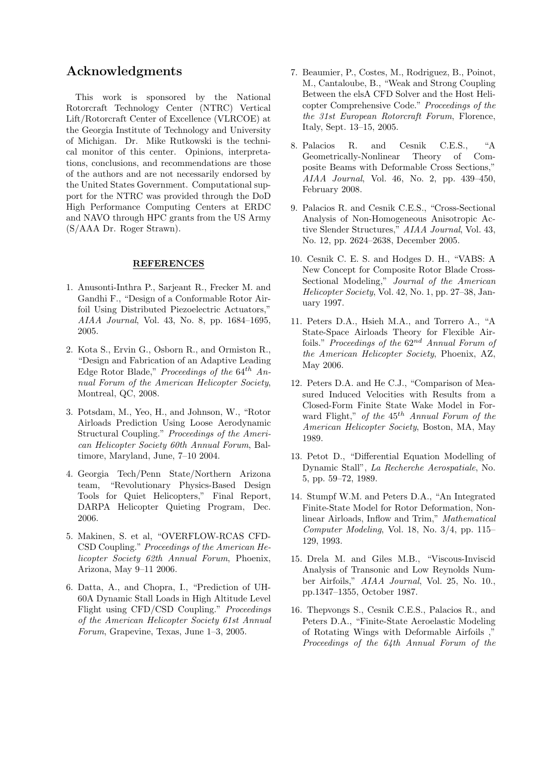### Acknowledgments

This work is sponsored by the National Rotorcraft Technology Center (NTRC) Vertical Lift/Rotorcraft Center of Excellence (VLRCOE) at the Georgia Institute of Technology and University of Michigan. Dr. Mike Rutkowski is the technical monitor of this center. Opinions, interpretations, conclusions, and recommendations are those of the authors and are not necessarily endorsed by the United States Government. Computational support for the NTRC was provided through the DoD High Performance Computing Centers at ERDC and NAVO through HPC grants from the US Army (S/AAA Dr. Roger Strawn).

#### REFERENCES

- 1. Anusonti-Inthra P., Sarjeant R., Frecker M. and Gandhi F., "Design of a Conformable Rotor Airfoil Using Distributed Piezoelectric Actuators," AIAA Journal, Vol. 43, No. 8, pp. 1684–1695, 2005.
- 2. Kota S., Ervin G., Osborn R., and Ormiston R., "Design and Fabrication of an Adaptive Leading Edge Rotor Blade," Proceedings of the  $64^{th}$  Annual Forum of the American Helicopter Society, Montreal, QC, 2008.
- 3. Potsdam, M., Yeo, H., and Johnson, W., "Rotor Airloads Prediction Using Loose Aerodynamic Structural Coupling." Proceedings of the American Helicopter Society 60th Annual Forum, Baltimore, Maryland, June, 7–10 2004.
- 4. Georgia Tech/Penn State/Northern Arizona team, "Revolutionary Physics-Based Design Tools for Quiet Helicopters," Final Report, DARPA Helicopter Quieting Program, Dec. 2006.
- 5. Makinen, S. et al, "OVERFLOW-RCAS CFD-CSD Coupling." Proceedings of the American Helicopter Society 62th Annual Forum, Phoenix, Arizona, May 9–11 2006.
- 6. Datta, A., and Chopra, I., "Prediction of UH-60A Dynamic Stall Loads in High Altitude Level Flight using CFD/CSD Coupling." Proceedings of the American Helicopter Society 61st Annual Forum, Grapevine, Texas, June 1–3, 2005.
- 7. Beaumier, P., Costes, M., Rodriguez, B., Poinot, M., Cantaloube, B., "Weak and Strong Coupling Between the elsA CFD Solver and the Host Helicopter Comprehensive Code." Proceedings of the the 31st European Rotorcraft Forum, Florence, Italy, Sept. 13–15, 2005.
- 8. Palacios R. and Cesnik C.E.S., "A Geometrically-Nonlinear Theory of Composite Beams with Deformable Cross Sections," AIAA Journal, Vol. 46, No. 2, pp. 439–450, February 2008.
- 9. Palacios R. and Cesnik C.E.S., "Cross-Sectional Analysis of Non-Homogeneous Anisotropic Active Slender Structures," AIAA Journal, Vol. 43, No. 12, pp. 2624–2638, December 2005.
- 10. Cesnik C. E. S. and Hodges D. H., "VABS: A New Concept for Composite Rotor Blade Cross-Sectional Modeling," Journal of the American Helicopter Society, Vol. 42, No. 1, pp. 27–38, January 1997.
- 11. Peters D.A., Hsieh M.A., and Torrero A., "A State-Space Airloads Theory for Flexible Airfoils." Proceedings of the  $62^{nd}$  Annual Forum of the American Helicopter Society, Phoenix, AZ, May 2006.
- 12. Peters D.A. and He C.J., "Comparison of Measured Induced Velocities with Results from a Closed-Form Finite State Wake Model in Forward Flight," of the  $45<sup>th</sup>$  Annual Forum of the American Helicopter Society, Boston, MA, May 1989.
- 13. Petot D., "Differential Equation Modelling of Dynamic Stall", La Recherche Aerospatiale, No. 5, pp. 59–72, 1989.
- 14. Stumpf W.M. and Peters D.A., "An Integrated Finite-State Model for Rotor Deformation, Nonlinear Airloads, Inflow and Trim," Mathematical Computer Modeling, Vol. 18, No. 3/4, pp. 115– 129, 1993.
- 15. Drela M. and Giles M.B., "Viscous-Inviscid Analysis of Transonic and Low Reynolds Number Airfoils," AIAA Journal, Vol. 25, No. 10., pp.1347–1355, October 1987.
- 16. Thepvongs S., Cesnik C.E.S., Palacios R., and Peters D.A., "Finite-State Aeroelastic Modeling of Rotating Wings with Deformable Airfoils ," Proceedings of the 64th Annual Forum of the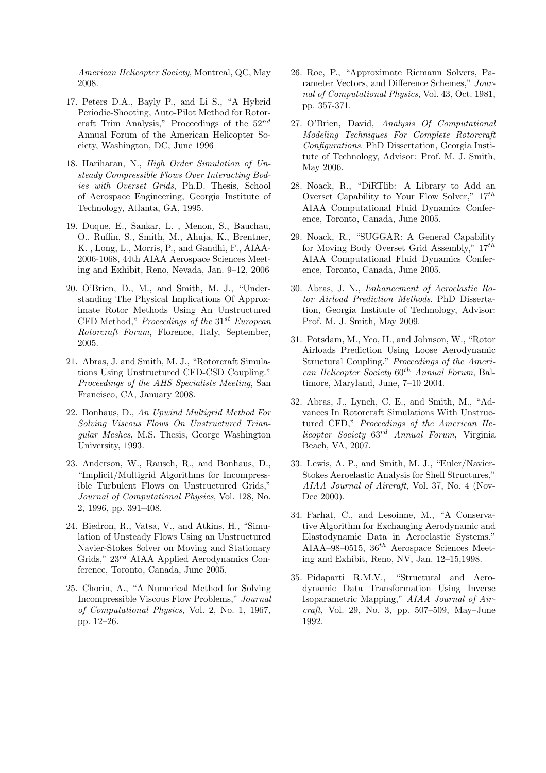American Helicopter Society, Montreal, QC, May 2008.

- 17. Peters D.A., Bayly P., and Li S., "A Hybrid Periodic-Shooting, Auto-Pilot Method for Rotorcraft Trim Analysis," Proceedings of the  $52^{nd}$ Annual Forum of the American Helicopter Society, Washington, DC, June 1996
- 18. Hariharan, N., High Order Simulation of Unsteady Compressible Flows Over Interacting Bodies with Overset Grids, Ph.D. Thesis, School of Aerospace Engineering, Georgia Institute of Technology, Atlanta, GA, 1995.
- 19. Duque, E., Sankar, L. , Menon, S., Bauchau, O.. Ruffin, S., Smith, M., Ahuja, K., Brentner, K. , Long, L., Morris, P., and Gandhi, F., AIAA-2006-1068, 44th AIAA Aerospace Sciences Meeting and Exhibit, Reno, Nevada, Jan. 9–12, 2006
- 20. O'Brien, D., M., and Smith, M. J., "Understanding The Physical Implications Of Approximate Rotor Methods Using An Unstructured CFD Method," Proceedings of the  $31^{st}$  European Rotorcraft Forum, Florence, Italy, September, 2005.
- 21. Abras, J. and Smith, M. J., "Rotorcraft Simulations Using Unstructured CFD-CSD Coupling." Proceedings of the AHS Specialists Meeting, San Francisco, CA, January 2008.
- 22. Bonhaus, D., An Upwind Multigrid Method For Solving Viscous Flows On Unstructured Triangular Meshes, M.S. Thesis, George Washington University, 1993.
- 23. Anderson, W., Rausch, R., and Bonhaus, D., "Implicit/Multigrid Algorithms for Incompressible Turbulent Flows on Unstructured Grids," Journal of Computational Physics, Vol. 128, No. 2, 1996, pp. 391–408.
- 24. Biedron, R., Vatsa, V., and Atkins, H., "Simulation of Unsteady Flows Using an Unstructured Navier-Stokes Solver on Moving and Stationary Grids,"  $23^{rd}$  AIAA Applied Aerodynamics Conference, Toronto, Canada, June 2005.
- 25. Chorin, A., "A Numerical Method for Solving Incompressible Viscous Flow Problems," Journal of Computational Physics, Vol. 2, No. 1, 1967, pp. 12–26.
- 26. Roe, P., "Approximate Riemann Solvers, Parameter Vectors, and Difference Schemes," Journal of Computational Physics, Vol. 43, Oct. 1981, pp. 357-371.
- 27. O'Brien, David, Analysis Of Computational Modeling Techniques For Complete Rotorcraft Configurations. PhD Dissertation, Georgia Institute of Technology, Advisor: Prof. M. J. Smith, May 2006.
- 28. Noack, R., "DiRTlib: A Library to Add an Overset Capability to Your Flow Solver,"  $17^{th}$ AIAA Computational Fluid Dynamics Conference, Toronto, Canada, June 2005.
- 29. Noack, R., "SUGGAR: A General Capability for Moving Body Overset Grid Assembly,"  $17^{th}$ AIAA Computational Fluid Dynamics Conference, Toronto, Canada, June 2005.
- 30. Abras, J. N., Enhancement of Aeroelastic Rotor Airload Prediction Methods. PhD Dissertation, Georgia Institute of Technology, Advisor: Prof. M. J. Smith, May 2009.
- 31. Potsdam, M., Yeo, H., and Johnson, W., "Rotor Airloads Prediction Using Loose Aerodynamic Structural Coupling." Proceedings of the American Helicopter Society  $60^{th}$  Annual Forum, Baltimore, Maryland, June, 7–10 2004.
- 32. Abras, J., Lynch, C. E., and Smith, M., "Advances In Rotorcraft Simulations With Unstructured CFD," Proceedings of the American Helicopter Society 63rd Annual Forum, Virginia Beach, VA, 2007.
- 33. Lewis, A. P., and Smith, M. J., "Euler/Navier-Stokes Aeroelastic Analysis for Shell Structures," AIAA Journal of Aircraft, Vol. 37, No. 4 (Nov-Dec 2000).
- 34. Farhat, C., and Lesoinne, M., "A Conservative Algorithm for Exchanging Aerodynamic and Elastodynamic Data in Aeroelastic Systems." AIAA–98–0515,  $36<sup>th</sup>$  Aerospace Sciences Meeting and Exhibit, Reno, NV, Jan. 12–15,1998.
- 35. Pidaparti R.M.V., "Structural and Aerodynamic Data Transformation Using Inverse Isoparametric Mapping," AIAA Journal of Air $craft, Vol. 29, No. 3, pp. 507-509, May-June$ 1992.